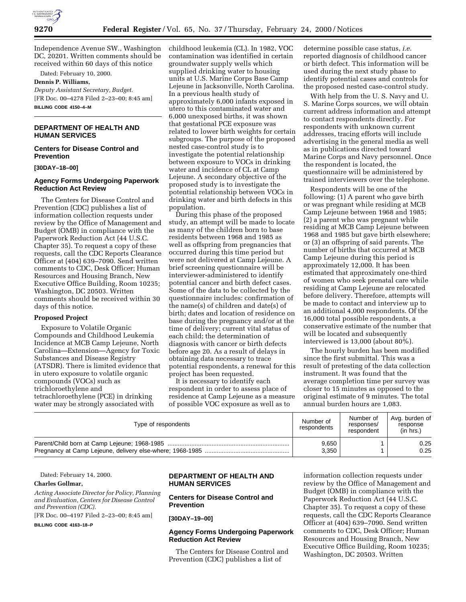

Independence Avenue SW., Washington DC, 20201. Written comments should be received within 60 days of this notice

Dated: February 10, 2000. **Dennis P. Williams,**

*Deputy Assistant Secretary, Budget.* [FR Doc. 00–4278 Filed 2–23–00; 8:45 am] **BILLING CODE 4150–4–M**

## **DEPARTMENT OF HEALTH AND HUMAN SERVICES**

### **Centers for Disease Control and Prevention**

**[30DAY–18–00]**

### **Agency Forms Undergoing Paperwork Reduction Act Review**

The Centers for Disease Control and Prevention (CDC) publishes a list of information collection requests under review by the Office of Management and Budget (OMB) in compliance with the Paperwork Reduction Act (44 U.S.C. Chapter 35). To request a copy of these requests, call the CDC Reports Clearance Officer at (404) 639–7090. Send written comments to CDC, Desk Officer; Human Resources and Housing Branch, New Executive Office Building, Room 10235; Washington, DC 20503. Written comments should be received within 30 days of this notice.

#### **Proposed Project**

Exposure to Volatile Organic Compounds and Childhood Leukemia Incidence at MCB Camp Lejeune, North Carolina—Extension—Agency for Toxic Substances and Disease Registry (ATSDR). There is limited evidence that in utero exposure to volatile organic compounds (VOCs) such as trichloroethylene and tetrachloroethylene (PCE) in drinking water may be strongly associated with

childhood leukemia (CL). In 1982, VOC contamination was identified in certain groundwater supply wells which supplied drinking water to housing units at U.S. Marine Corps Base Camp Lejeune in Jacksonville, North Carolina. In a previous health study of approximately 6,000 infants exposed in utero to this contaminated water and 6,000 unexposed births, it was shown that gestational PCE exposure was related to lower birth weights for certain subgroups. The purpose of the proposed nested case-control study is to investigate the potential relationship between exposure to VOCs in drinking water and incidence of CL at Camp Lejeune. A secondary objective of the proposed study is to investigate the potential relationship between VOCs in drinking water and birth defects in this population.

During this phase of the proposed study, an attempt will be made to locate as many of the children born to base residents between 1968 and 1985 as well as offspring from pregnancies that occurred during this time period but were not delivered at Camp Lejeune. A brief screening questionnaire will be interviewer-administered to identify potential cancer and birth defect cases. Some of the data to be collected by the questionnaire includes: confirmation of the name(s) of children and date(s) of birth; dates and location of residence on base during the pregnancy and/or at the time of delivery; current vital status of each child; the determination of diagnosis with cancer or birth defects before age 20. As a result of delays in obtaining data necessary to trace potential respondents, a renewal for this project has been requested.

It is necessary to identify each respondent in order to assess place of residence at Camp Lejeune as a measure of possible VOC exposure as well as to

determine possible case status, *i.e.* reported diagnosis of childhood cancer or birth defect. This information will be used during the next study phase to identify potential cases and controls for the proposed nested case-control study.

With help from the U. S. Navy and U. S. Marine Corps sources, we will obtain current address information and attempt to contact respondents directly. For respondents with unknown current addresses, tracing efforts will include advertising in the general media as well as in publications directed toward Marine Corps and Navy personnel. Once the respondent is located, the questionnaire will be administered by trained interviewers over the telephone.

Respondents will be one of the following: (1) A parent who gave birth or was pregnant while residing at MCB Camp Lejeune between 1968 and 1985; (2) a parent who was pregnant while residing at MCB Camp Lejeune between 1968 and 1985 but gave birth elsewhere; or (3) an offspring of said parents. The number of births that occurred at MCB Camp Lejeune during this period is approximately 12,000. It has been estimated that approximately one-third of women who seek prenatal care while residing at Camp Lejeune are relocated before delivery. Therefore, attempts will be made to contact and interview up to an additional 4,000 respondents. Of the 16,000 total possible respondents, a conservative estimate of the number that will be located and subsequently interviewed is 13,000 (about 80%).

The hourly burden has been modified since the first submittal. This was a result of pretesting of the data collection instrument. It was found that the average completion time per survey was closer to 15 minutes as opposed to the original estimate of 9 minutes. The total annual burden hours are 1,083.

| Type of respondents | Number of<br>respondents | Number of<br>responses/<br>respondent | Avg. burden of<br>response<br>(in hrs.) |
|---------------------|--------------------------|---------------------------------------|-----------------------------------------|
|                     | 9.650                    |                                       | 0.25                                    |
|                     | 3.350                    |                                       | 0.25                                    |

Dated: February 14, 2000.

#### **Charles Gollmar,**

*Acting Associate Director for Policy, Planning and Evaluation, Centers for Disease Control and Prevention (CDC).*

[FR Doc. 00–4197 Filed 2–23–00; 8:45 am]

**BILLING CODE 4163–18–P**

# **DEPARTMENT OF HEALTH AND HUMAN SERVICES**

## **Centers for Disease Control and Prevention**

**[30DAY–19–00]**

### **Agency Forms Undergoing Paperwork Reduction Act Review**

The Centers for Disease Control and Prevention (CDC) publishes a list of

information collection requests under review by the Office of Management and Budget (OMB) in compliance with the Paperwork Reduction Act (44 U.S.C. Chapter 35). To request a copy of these requests, call the CDC Reports Clearance Officer at (404) 639–7090. Send written comments to CDC, Desk Officer; Human Resources and Housing Branch, New Executive Office Building, Room 10235; Washington, DC 20503. Written